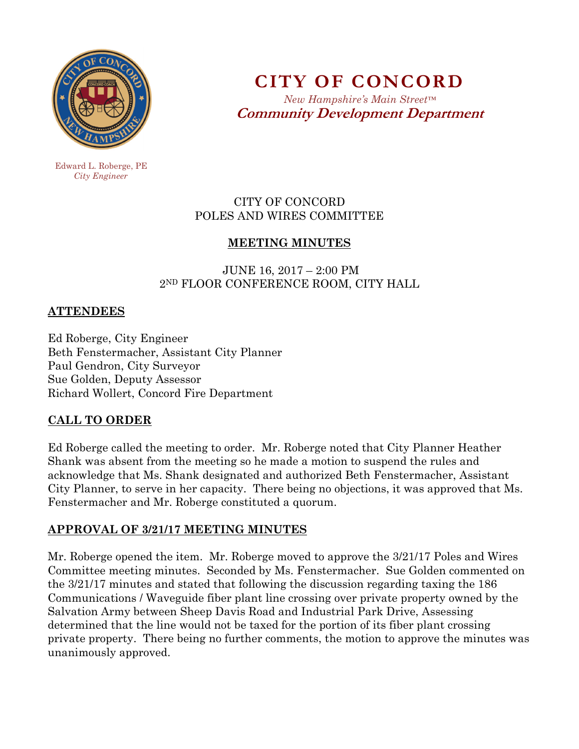

**CITY OF CONCORD**  *New Hampshire's Main Street™*

**Community Development Department** 

 Edward L. Roberge, PE  *City Engineer* 

## CITY OF CONCORD POLES AND WIRES COMMITTEE

# **MEETING MINUTES**

 JUNE 16, 2017 – 2:00 PM 2ND FLOOR CONFERENCE ROOM, CITY HALL

### **ATTENDEES**

Ed Roberge, City Engineer Beth Fenstermacher, Assistant City Planner Paul Gendron, City Surveyor Sue Golden, Deputy Assessor Richard Wollert, Concord Fire Department

## **CALL TO ORDER**

Ed Roberge called the meeting to order. Mr. Roberge noted that City Planner Heather Shank was absent from the meeting so he made a motion to suspend the rules and acknowledge that Ms. Shank designated and authorized Beth Fenstermacher, Assistant City Planner, to serve in her capacity. There being no objections, it was approved that Ms. Fenstermacher and Mr. Roberge constituted a quorum.

#### **APPROVAL OF 3/21/17 MEETING MINUTES**

Mr. Roberge opened the item. Mr. Roberge moved to approve the 3/21/17 Poles and Wires Committee meeting minutes. Seconded by Ms. Fenstermacher. Sue Golden commented on the 3/21/17 minutes and stated that following the discussion regarding taxing the 186 Communications / Waveguide fiber plant line crossing over private property owned by the Salvation Army between Sheep Davis Road and Industrial Park Drive, Assessing determined that the line would not be taxed for the portion of its fiber plant crossing private property. There being no further comments, the motion to approve the minutes was unanimously approved.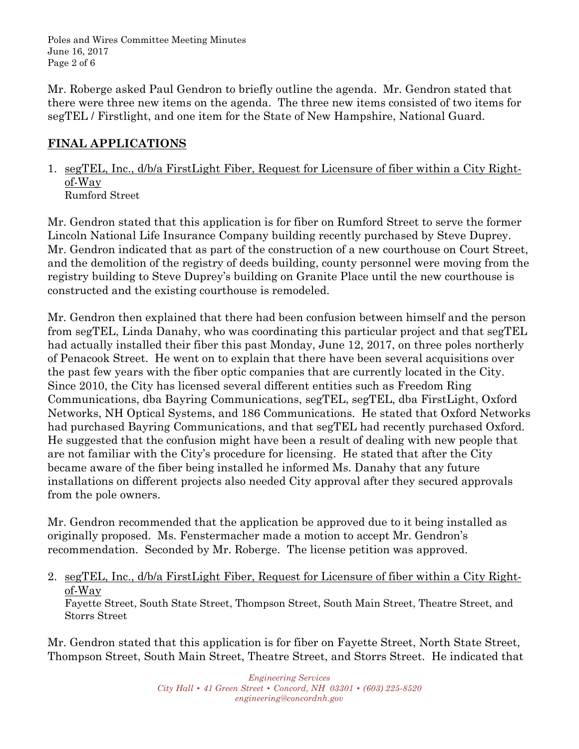Poles and Wires Committee Meeting Minutes June 16, 2017 Page 2 of 6

Mr. Roberge asked Paul Gendron to briefly outline the agenda. Mr. Gendron stated that there were three new items on the agenda. The three new items consisted of two items for segTEL / Firstlight, and one item for the State of New Hampshire, National Guard.

### **FINAL APPLICATIONS**

1. segTEL, Inc., d/b/a FirstLight Fiber, Request for Licensure of fiber within a City Rightof-Way Rumford Street

Mr. Gendron stated that this application is for fiber on Rumford Street to serve the former Lincoln National Life Insurance Company building recently purchased by Steve Duprey. Mr. Gendron indicated that as part of the construction of a new courthouse on Court Street, and the demolition of the registry of deeds building, county personnel were moving from the registry building to Steve Duprey's building on Granite Place until the new courthouse is constructed and the existing courthouse is remodeled.

Mr. Gendron then explained that there had been confusion between himself and the person from segTEL, Linda Danahy, who was coordinating this particular project and that segTEL had actually installed their fiber this past Monday, June 12, 2017, on three poles northerly of Penacook Street. He went on to explain that there have been several acquisitions over the past few years with the fiber optic companies that are currently located in the City. Since 2010, the City has licensed several different entities such as Freedom Ring Communications, dba Bayring Communications, segTEL, segTEL, dba FirstLight, Oxford Networks, NH Optical Systems, and 186 Communications. He stated that Oxford Networks had purchased Bayring Communications, and that segTEL had recently purchased Oxford. He suggested that the confusion might have been a result of dealing with new people that are not familiar with the City's procedure for licensing. He stated that after the City became aware of the fiber being installed he informed Ms. Danahy that any future installations on different projects also needed City approval after they secured approvals from the pole owners.

Mr. Gendron recommended that the application be approved due to it being installed as originally proposed. Ms. Fenstermacher made a motion to accept Mr. Gendron's recommendation. Seconded by Mr. Roberge. The license petition was approved.

2. segTEL, Inc., d/b/a FirstLight Fiber, Request for Licensure of fiber within a City Rightof-Way

Fayette Street, South State Street, Thompson Street, South Main Street, Theatre Street, and Storrs Street

Mr. Gendron stated that this application is for fiber on Fayette Street, North State Street, Thompson Street, South Main Street, Theatre Street, and Storrs Street. He indicated that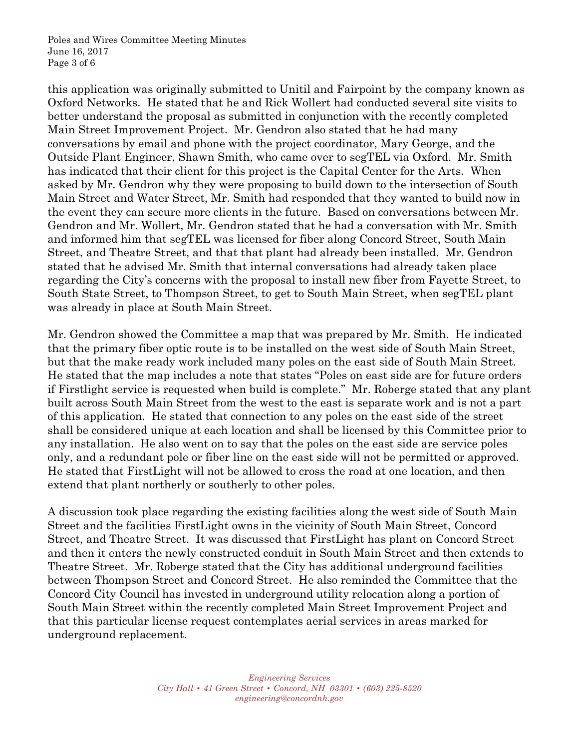Poles and Wires Committee Meeting Minutes June 16, 2017 Page 3 of 6

this application was originally submitted to Unitil and Fairpoint by the company known as Oxford Networks. He stated that he and Rick Wollert had conducted several site visits to better understand the proposal as submitted in conjunction with the recently completed Main Street Improvement Project. Mr. Gendron also stated that he had many conversations by email and phone with the project coordinator, Mary George, and the Outside Plant Engineer, Shawn Smith, who came over to segTEL via Oxford. Mr. Smith has indicated that their client for this project is the Capital Center for the Arts. When asked by Mr. Gendron why they were proposing to build down to the intersection of South Main Street and Water Street, Mr. Smith had responded that they wanted to build now in the event they can secure more clients in the future. Based on conversations between Mr. Gendron and Mr. Wollert, Mr. Gendron stated that he had a conversation with Mr. Smith and informed him that segTEL was licensed for fiber along Concord Street, South Main Street, and Theatre Street, and that that plant had already been installed. Mr. Gendron stated that he advised Mr. Smith that internal conversations had already taken place regarding the City's concerns with the proposal to install new fiber from Fayette Street, to South State Street, to Thompson Street, to get to South Main Street, when segTEL plant was already in place at South Main Street.

Mr. Gendron showed the Committee a map that was prepared by Mr. Smith. He indicated that the primary fiber optic route is to be installed on the west side of South Main Street, but that the make ready work included many poles on the east side of South Main Street. He stated that the map includes a note that states "Poles on east side are for future orders if Firstlight service is requested when build is complete." Mr. Roberge stated that any plant built across South Main Street from the west to the east is separate work and is not a part of this application. He stated that connection to any poles on the east side of the street shall be considered unique at each location and shall be licensed by this Committee prior to any installation. He also went on to say that the poles on the east side are service poles only, and a redundant pole or fiber line on the east side will not be permitted or approved. He stated that FirstLight will not be allowed to cross the road at one location, and then extend that plant northerly or southerly to other poles.

A discussion took place regarding the existing facilities along the west side of South Main Street and the facilities FirstLight owns in the vicinity of South Main Street, Concord Street, and Theatre Street. It was discussed that FirstLight has plant on Concord Street and then it enters the newly constructed conduit in South Main Street and then extends to Theatre Street. Mr. Roberge stated that the City has additional underground facilities between Thompson Street and Concord Street. He also reminded the Committee that the Concord City Council has invested in underground utility relocation along a portion of South Main Street within the recently completed Main Street Improvement Project and that this particular license request contemplates aerial services in areas marked for underground replacement.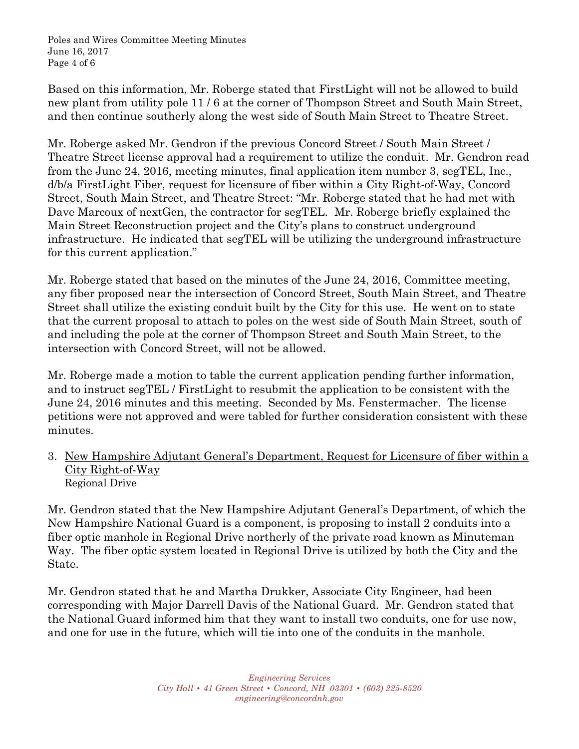Poles and Wires Committee Meeting Minutes June 16, 2017 Page 4 of 6

Based on this information, Mr. Roberge stated that FirstLight will not be allowed to build new plant from utility pole 11 / 6 at the corner of Thompson Street and South Main Street, and then continue southerly along the west side of South Main Street to Theatre Street.

Mr. Roberge asked Mr. Gendron if the previous Concord Street / South Main Street / Theatre Street license approval had a requirement to utilize the conduit. Mr. Gendron read from the June 24, 2016, meeting minutes, final application item number 3, segTEL, Inc., d/b/a FirstLight Fiber, request for licensure of fiber within a City Right-of-Way, Concord Street, South Main Street, and Theatre Street: "Mr. Roberge stated that he had met with Dave Marcoux of nextGen, the contractor for segTEL. Mr. Roberge briefly explained the Main Street Reconstruction project and the City's plans to construct underground infrastructure. He indicated that segTEL will be utilizing the underground infrastructure for this current application."

Mr. Roberge stated that based on the minutes of the June 24, 2016, Committee meeting, any fiber proposed near the intersection of Concord Street, South Main Street, and Theatre Street shall utilize the existing conduit built by the City for this use. He went on to state that the current proposal to attach to poles on the west side of South Main Street, south of and including the pole at the corner of Thompson Street and South Main Street, to the intersection with Concord Street, will not be allowed.

Mr. Roberge made a motion to table the current application pending further information, and to instruct segTEL / FirstLight to resubmit the application to be consistent with the June 24, 2016 minutes and this meeting. Seconded by Ms. Fenstermacher. The license petitions were not approved and were tabled for further consideration consistent with these minutes.

3. New Hampshire Adjutant General's Department, Request for Licensure of fiber within a City Right-of-Way Regional Drive

Mr. Gendron stated that the New Hampshire Adjutant General's Department, of which the New Hampshire National Guard is a component, is proposing to install 2 conduits into a fiber optic manhole in Regional Drive northerly of the private road known as Minuteman Way. The fiber optic system located in Regional Drive is utilized by both the City and the State.

Mr. Gendron stated that he and Martha Drukker, Associate City Engineer, had been corresponding with Major Darrell Davis of the National Guard. Mr. Gendron stated that the National Guard informed him that they want to install two conduits, one for use now, and one for use in the future, which will tie into one of the conduits in the manhole.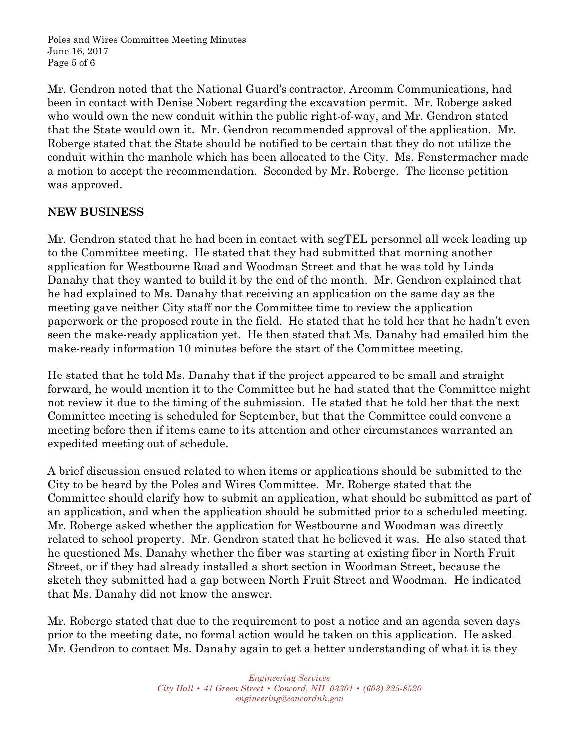Poles and Wires Committee Meeting Minutes June 16, 2017 Page 5 of 6

Mr. Gendron noted that the National Guard's contractor, Arcomm Communications, had been in contact with Denise Nobert regarding the excavation permit. Mr. Roberge asked who would own the new conduit within the public right-of-way, and Mr. Gendron stated that the State would own it. Mr. Gendron recommended approval of the application. Mr. Roberge stated that the State should be notified to be certain that they do not utilize the conduit within the manhole which has been allocated to the City. Ms. Fenstermacher made a motion to accept the recommendation. Seconded by Mr. Roberge. The license petition was approved.

#### **NEW BUSINESS**

Mr. Gendron stated that he had been in contact with segTEL personnel all week leading up to the Committee meeting. He stated that they had submitted that morning another application for Westbourne Road and Woodman Street and that he was told by Linda Danahy that they wanted to build it by the end of the month. Mr. Gendron explained that he had explained to Ms. Danahy that receiving an application on the same day as the meeting gave neither City staff nor the Committee time to review the application paperwork or the proposed route in the field. He stated that he told her that he hadn't even seen the make-ready application yet. He then stated that Ms. Danahy had emailed him the make-ready information 10 minutes before the start of the Committee meeting.

He stated that he told Ms. Danahy that if the project appeared to be small and straight forward, he would mention it to the Committee but he had stated that the Committee might not review it due to the timing of the submission. He stated that he told her that the next Committee meeting is scheduled for September, but that the Committee could convene a meeting before then if items came to its attention and other circumstances warranted an expedited meeting out of schedule.

A brief discussion ensued related to when items or applications should be submitted to the City to be heard by the Poles and Wires Committee. Mr. Roberge stated that the Committee should clarify how to submit an application, what should be submitted as part of an application, and when the application should be submitted prior to a scheduled meeting. Mr. Roberge asked whether the application for Westbourne and Woodman was directly related to school property. Mr. Gendron stated that he believed it was. He also stated that he questioned Ms. Danahy whether the fiber was starting at existing fiber in North Fruit Street, or if they had already installed a short section in Woodman Street, because the sketch they submitted had a gap between North Fruit Street and Woodman. He indicated that Ms. Danahy did not know the answer.

Mr. Roberge stated that due to the requirement to post a notice and an agenda seven days prior to the meeting date, no formal action would be taken on this application. He asked Mr. Gendron to contact Ms. Danahy again to get a better understanding of what it is they